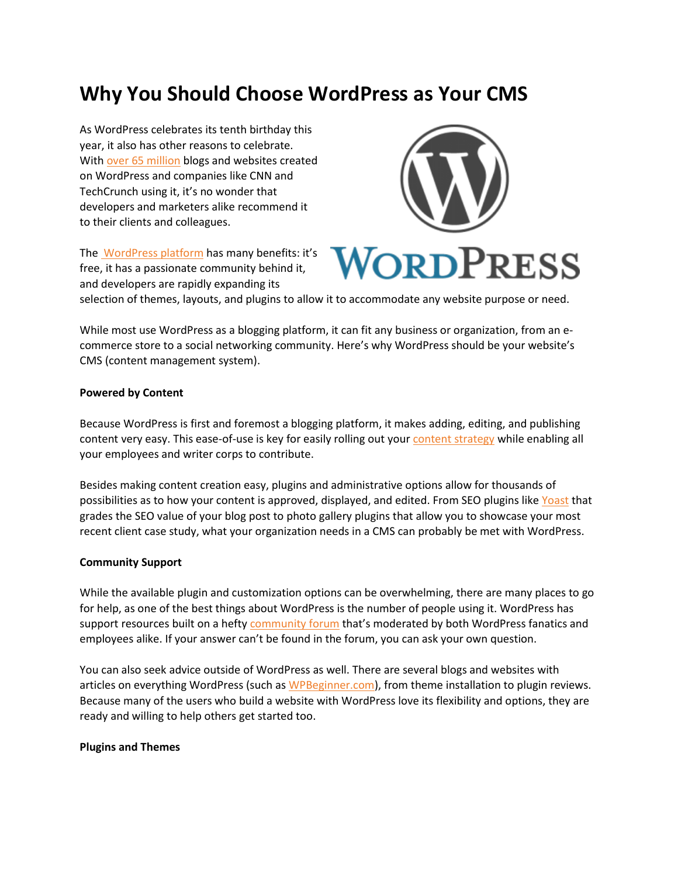# **Why You Should Choose WordPress as Your CMS**

As WordPress celebrates its tenth birthday this year, it also has other reasons to celebrate. With over 65 [million](http://en.wordpress.com/stats/) blogs and websites created on WordPress and companies like CNN and TechCrunch using it, it's no wonder that developers and marketers alike recommend it to their clients and colleagues.



The [WordPress](http://www.wordpress.org/) platform has many benefits: it's free, it has a passionate community behind it, and developers are rapidly expanding its

selection of themes, layouts, and plugins to allow it to accommodate any website purpose or need.

While most use WordPress as a blogging platform, it can fit any business or organization, from an ecommerce store to a social networking community. Here's why WordPress should be your website's CMS (content management system).

#### **Powered by Content**

Because WordPress is first and foremost a blogging platform, it makes adding, editing, and publishing content very easy. This ease-of-use is key for easily rolling out your content [strategy](http://www.audiencebloom.com/2013/04/how-to-build-a-kickass-content-strategy/) while enabling all your employees and writer corps to contribute.

Besides making content creation easy, plugins and administrative options allow for thousands of possibilities as to how your content is approved, displayed, and edited. From SEO plugins like [Yoast](http://yoast.com/wordpress/seo/) that grades the SEO value of your blog post to photo gallery plugins that allow you to showcase your most recent client case study, what your organization needs in a CMS can probably be met with WordPress.

#### **Community Support**

While the available plugin and customization options can be overwhelming, there are many places to go for help, as one of the best things about WordPress is the number of people using it. WordPress has support resources built on a hefty [community](http://wordpress.org/support/) forum that's moderated by both WordPress fanatics and employees alike. If your answer can't be found in the forum, you can ask your own question.

You can also seek advice outside of WordPress as well. There are several blogs and websites with articles on everything WordPress (such as [WPBeginner.com\)](http://www.wpbeginner.com/), from theme installation to plugin reviews. Because many of the users who build a website with WordPress love its flexibility and options, they are ready and willing to help others get started too.

#### **Plugins and Themes**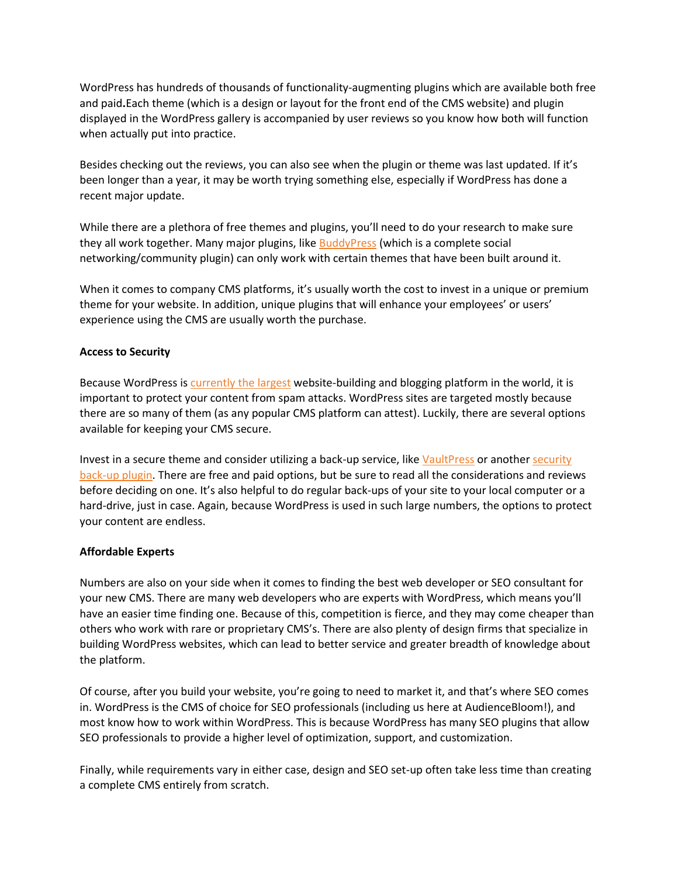WordPress has hundreds of thousands of functionality-augmenting plugins which are available both free and paid**.**Each theme (which is a design or layout for the front end of the CMS website) and plugin displayed in the WordPress gallery is accompanied by user reviews so you know how both will function when actually put into practice.

Besides checking out the reviews, you can also see when the plugin or theme was last updated. If it's been longer than a year, it may be worth trying something else, especially if WordPress has done a recent major update.

While there are a plethora of free themes and plugins, you'll need to do your research to make sure they all work together. Many major plugins, like **[BuddyPress](http://buddypress.org/)** (which is a complete social networking/community plugin) can only work with certain themes that have been built around it.

When it comes to company CMS platforms, it's usually worth the cost to invest in a unique or premium theme for your website. In addition, unique plugins that will enhance your employees' or users' experience using the CMS are usually worth the purchase.

#### **Access to Security**

Because WordPress is [currently](http://wp.smashingmagazine.com/2011/11/29/wordpress-cms-crown-drupal-joomla/) the largest website-building and blogging platform in the world, it is important to protect your content from spam attacks. WordPress sites are targeted mostly because there are so many of them (as any popular CMS platform can attest). Luckily, there are several options available for keeping your CMS secure.

Invest in a secure theme and consider utilizing a back-up service, like [VaultPress](http://vaultpress.com/) or another [security](http://www.stateofsearch.com/top-6-wordpress-backup-plugin-recommendations-for-2013/) [back-up](http://www.stateofsearch.com/top-6-wordpress-backup-plugin-recommendations-for-2013/) plugin. There are free and paid options, but be sure to read all the considerations and reviews before deciding on one. It's also helpful to do regular back-ups of your site to your local computer or a hard-drive, just in case. Again, because WordPress is used in such large numbers, the options to protect your content are endless.

## **Affordable Experts**

Numbers are also on your side when it comes to finding the best web developer or SEO consultant for your new CMS. There are many web developers who are experts with WordPress, which means you'll have an easier time finding one. Because of this, competition is fierce, and they may come cheaper than others who work with rare or proprietary CMS's. There are also plenty of design firms that specialize in building WordPress websites, which can lead to better service and greater breadth of knowledge about the platform.

Of course, after you build your website, you're going to need to market it, and that's where SEO comes in. WordPress is the CMS of choice for SEO professionals (including us here at AudienceBloom!), and most know how to work within WordPress. This is because WordPress has many SEO plugins that allow SEO professionals to provide a higher level of optimization, support, and customization.

Finally, while requirements vary in either case, design and SEO set-up often take less time than creating a complete CMS entirely from scratch.